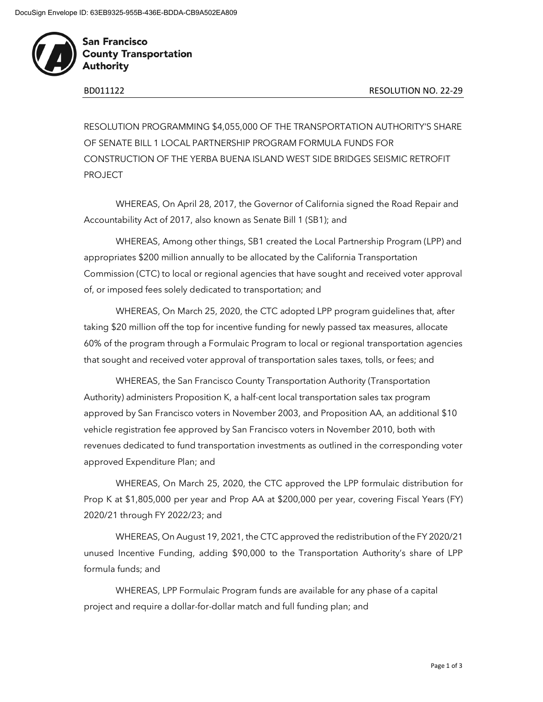

**San Francisco County Transportation Authority** 

RESOLUTION PROGRAMMING \$4,055,000 OF THE TRANSPORTATION AUTHORITY'S SHARE OF SENATE BILL 1 LOCAL PARTNERSHIP PROGRAM FORMULA FUNDS FOR CONSTRUCTION OF THE YERBA BUENA ISLAND WEST SIDE BRIDGES SEISMIC RETROFIT PROJECT

WHEREAS, On April 28, 2017, the Governor of California signed the Road Repair and Accountability Act of 2017, also known as Senate Bill 1 (SB1); and

WHEREAS, Among other things, SB1 created the Local Partnership Program (LPP) and appropriates \$200 million annually to be allocated by the California Transportation Commission (CTC) to local or regional agencies that have sought and received voter approval of, or imposed fees solely dedicated to transportation; and

WHEREAS, On March 25, 2020, the CTC adopted LPP program guidelines that, after taking \$20 million off the top for incentive funding for newly passed tax measures, allocate 60% of the program through a Formulaic Program to local or regional transportation agencies that sought and received voter approval of transportation sales taxes, tolls, or fees; and

WHEREAS, the San Francisco County Transportation Authority (Transportation Authority) administers Proposition K, a half-cent local transportation sales tax program approved by San Francisco voters in November 2003, and Proposition AA, an additional \$10 vehicle registration fee approved by San Francisco voters in November 2010, both with revenues dedicated to fund transportation investments as outlined in the corresponding voter approved Expenditure Plan; and

WHEREAS, On March 25, 2020, the CTC approved the LPP formulaic distribution for Prop K at \$1,805,000 per year and Prop AA at \$200,000 per year, covering Fiscal Years (FY) 2020/21 through FY 2022/23; and

WHEREAS, On August 19, 2021, the CTC approved the redistribution of the FY 2020/21 unused Incentive Funding, adding \$90,000 to the Transportation Authority's share of LPP formula funds; and

WHEREAS, LPP Formulaic Program funds are available for any phase of a capital project and require a dollar-for-dollar match and full funding plan; and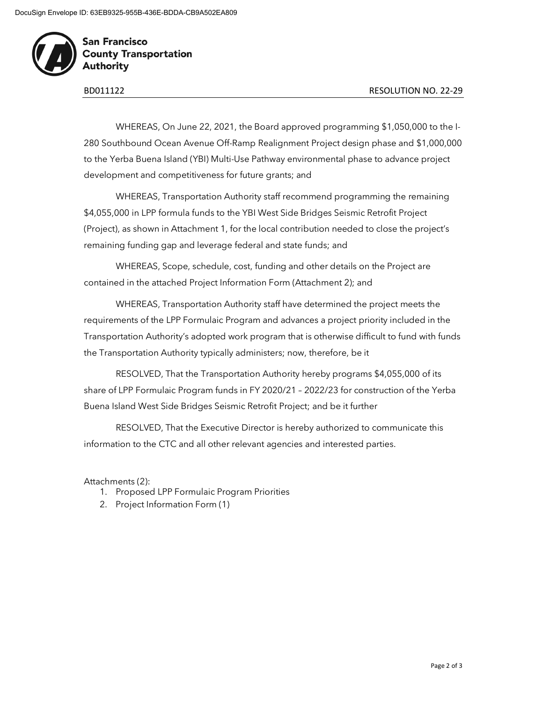

**San Francisco County Transportation Authority** 

WHEREAS, On June 22, 2021, the Board approved programming \$1,050,000 to the I-280 Southbound Ocean Avenue Off-Ramp Realignment Project design phase and \$1,000,000 to the Yerba Buena Island (YBI) Multi-Use Pathway environmental phase to advance project development and competitiveness for future grants; and

WHEREAS, Transportation Authority staff recommend programming the remaining \$4,055,000 in LPP formula funds to the YBI West Side Bridges Seismic Retrofit Project (Project), as shown in Attachment 1, for the local contribution needed to close the project's remaining funding gap and leverage federal and state funds; and

WHEREAS, Scope, schedule, cost, funding and other details on the Project are contained in the attached Project Information Form (Attachment 2); and

WHEREAS, Transportation Authority staff have determined the project meets the requirements of the LPP Formulaic Program and advances a project priority included in the Transportation Authority's adopted work program that is otherwise difficult to fund with funds the Transportation Authority typically administers; now, therefore, be it

RESOLVED, That the Transportation Authority hereby programs \$4,055,000 of its share of LPP Formulaic Program funds in FY 2020/21 – 2022/23 for construction of the Yerba Buena Island West Side Bridges Seismic Retrofit Project; and be it further

RESOLVED, That the Executive Director is hereby authorized to communicate this information to the CTC and all other relevant agencies and interested parties.

## Attachments (2):

- 1. Proposed LPP Formulaic Program Priorities
- 2. Project Information Form (1)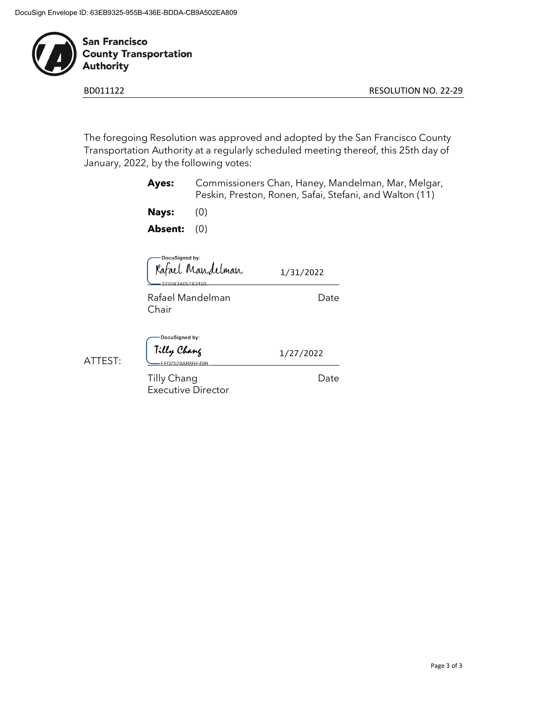

**San Francisco County Transportation** Authority

BD011122 RESOLUTION NO. 22-29

The foregoing Resolution was approved and adopted by the San Francisco County Transportation Authority at a regularly scheduled meeting thereof, this 25th day of January, 2022, by the following votes:

|         | Ayes:                                    |           | Commissioners Chan, Haney, Mandelman, Mar, Melgar,<br>Peskin, Preston, Ronen, Safai, Stefani, and Walton (11) |  |  |  |  |
|---------|------------------------------------------|-----------|---------------------------------------------------------------------------------------------------------------|--|--|--|--|
|         | <b>Nays:</b>                             | (0)       |                                                                                                               |  |  |  |  |
|         | <b>Absent:</b>                           | (0)       |                                                                                                               |  |  |  |  |
|         | DocuSigned by:                           | lmair     | 1/31/2022                                                                                                     |  |  |  |  |
|         | Rafael Mandelman<br>Chair                |           | Date                                                                                                          |  |  |  |  |
| ATTEST: | DocuSigned by:<br>Tilly Chang            | 8AR8RF49R | 1/27/2022                                                                                                     |  |  |  |  |
|         | Tilly Chang<br><b>Executive Director</b> |           | Date                                                                                                          |  |  |  |  |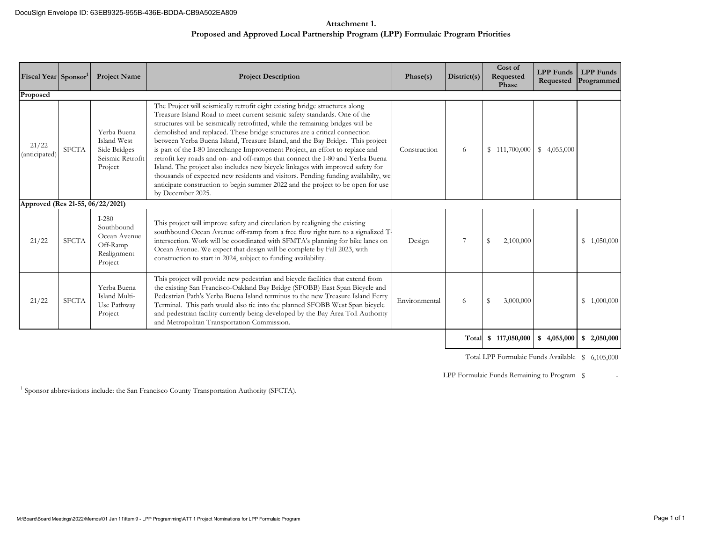## **Attachment 1. Proposed and Approved Local Partnership Program (LPP) Formulaic Program Priorities**

| Fiscal Year Sponsor <sup>1</sup> |              | <b>Project Name</b>                                                         | <b>Project Description</b>                                                                                                                                                                                                                                                                                                                                                                                                                                                                                                                                                                                                                                                                                                                                                                                                                                     | Phase(s)      | District(s) | Cost of<br>Requested<br>Phase | <b>LPP</b> Funds<br>Requested | <b>LPP</b> Funds<br>Programmed |
|----------------------------------|--------------|-----------------------------------------------------------------------------|----------------------------------------------------------------------------------------------------------------------------------------------------------------------------------------------------------------------------------------------------------------------------------------------------------------------------------------------------------------------------------------------------------------------------------------------------------------------------------------------------------------------------------------------------------------------------------------------------------------------------------------------------------------------------------------------------------------------------------------------------------------------------------------------------------------------------------------------------------------|---------------|-------------|-------------------------------|-------------------------------|--------------------------------|
| Proposed                         |              |                                                                             |                                                                                                                                                                                                                                                                                                                                                                                                                                                                                                                                                                                                                                                                                                                                                                                                                                                                |               |             |                               |                               |                                |
| 21/22<br>(anticipated)           | <b>SFCTA</b> | Yerba Buena<br>Island West<br>Side Bridges<br>Seismic Retrofit<br>Project   | The Project will seismically retrofit eight existing bridge structures along<br>Treasure Island Road to meet current seismic safety standards. One of the<br>structures will be seismically retrofitted, while the remaining bridges will be<br>demolished and replaced. These bridge structures are a critical connection<br>between Yerba Buena Island, Treasure Island, and the Bay Bridge. This project<br>is part of the I-80 Interchange Improvement Project, an effort to replace and<br>retrofit key roads and on- and off-ramps that connect the I-80 and Yerba Buena<br>Island. The project also includes new bicycle linkages with improved safety for<br>thousands of expected new residents and visitors. Pending funding availabilty, we<br>anticipate construction to begin summer 2022 and the project to be open for use<br>by December 2025. | Construction  | 6           | \$111,700,000                 | \$4,055,000                   |                                |
| Approved (Res 21-55, 06/22/2021) |              |                                                                             |                                                                                                                                                                                                                                                                                                                                                                                                                                                                                                                                                                                                                                                                                                                                                                                                                                                                |               |             |                               |                               |                                |
| 21/22                            | <b>SFCTA</b> | $I-280$<br>Southbound<br>Ocean Avenue<br>Off-Ramp<br>Realignment<br>Project | This project will improve safety and circulation by realigning the existing<br>southbound Ocean Avenue off-ramp from a free flow right turn to a signalized T-<br>intersection. Work will be coordinated with SFMTA's planning for bike lanes on<br>Ocean Avenue. We expect that design will be complete by Fall 2023, with<br>construction to start in 2024, subject to funding availability.                                                                                                                                                                                                                                                                                                                                                                                                                                                                 | Design        | 7           | 2,100,000<br>\$               |                               | \$1,050,000                    |
| 21/22                            | <b>SFCTA</b> | Yerba Buena<br>Island Multi-<br>Use Pathway<br>Project                      | This project will provide new pedestrian and bicycle facilities that extend from<br>the existing San Francisco-Oakland Bay Bridge (SFOBB) East Span Bicycle and<br>Pedestrian Path's Yerba Buena Island terminus to the new Treasure Island Ferry<br>Terminal. This path would also tie into the planned SFOBB West Span bicycle<br>and pedestrian facility currently being developed by the Bay Area Toll Authority<br>and Metropolitan Transportation Commission.                                                                                                                                                                                                                                                                                                                                                                                            | Environmental | 6           | 3,000,000                     |                               | \$1,000,000                    |
|                                  |              |                                                                             |                                                                                                                                                                                                                                                                                                                                                                                                                                                                                                                                                                                                                                                                                                                                                                                                                                                                |               | Total       | \$117,050,000                 | \$4,055,000                   | \$2,050,000                    |

Total LPP Formulaic Funds Available \$ 6,105,000

LPP Formulaic Funds Remaining to Program \$

<sup>1</sup> Sponsor abbreviations include: the San Francisco County Transportation Authority (SFCTA).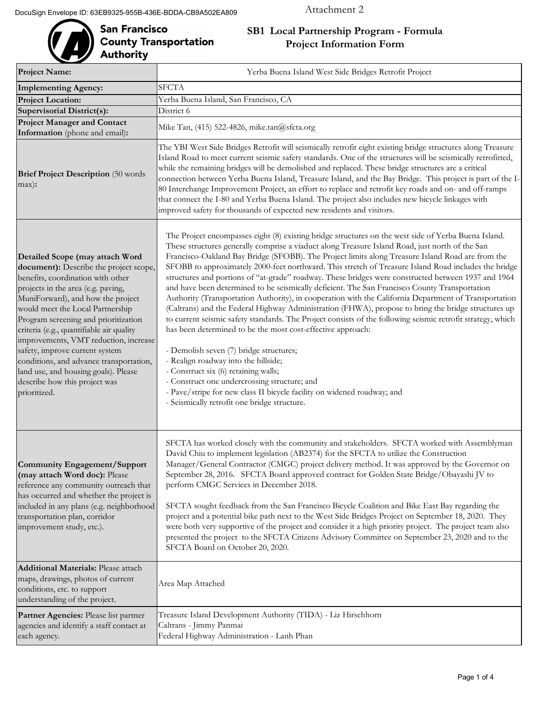# San Francisco<br>County Transportation<br>Authority

## **SB1 Local Partnership Program - Formula Project Information Form**

| <b>Project Name:</b>                                                                                                                                                                                                                                                                                                                                                                                                                                                                                                             | Yerba Buena Island West Side Bridges Retrofit Project                                                                                                                                                                                                                                                                                                                                                                                                                                                                                                                                                                                                                                                                                                                                                                                                                                                                                                                                                                                                                                                                                                                                                                                                                                                                           |  |  |  |  |  |
|----------------------------------------------------------------------------------------------------------------------------------------------------------------------------------------------------------------------------------------------------------------------------------------------------------------------------------------------------------------------------------------------------------------------------------------------------------------------------------------------------------------------------------|---------------------------------------------------------------------------------------------------------------------------------------------------------------------------------------------------------------------------------------------------------------------------------------------------------------------------------------------------------------------------------------------------------------------------------------------------------------------------------------------------------------------------------------------------------------------------------------------------------------------------------------------------------------------------------------------------------------------------------------------------------------------------------------------------------------------------------------------------------------------------------------------------------------------------------------------------------------------------------------------------------------------------------------------------------------------------------------------------------------------------------------------------------------------------------------------------------------------------------------------------------------------------------------------------------------------------------|--|--|--|--|--|
| <b>Implementing Agency:</b>                                                                                                                                                                                                                                                                                                                                                                                                                                                                                                      | <b>SFCTA</b>                                                                                                                                                                                                                                                                                                                                                                                                                                                                                                                                                                                                                                                                                                                                                                                                                                                                                                                                                                                                                                                                                                                                                                                                                                                                                                                    |  |  |  |  |  |
| <b>Project Location:</b>                                                                                                                                                                                                                                                                                                                                                                                                                                                                                                         | Yerba Buena Island, San Francisco, CA                                                                                                                                                                                                                                                                                                                                                                                                                                                                                                                                                                                                                                                                                                                                                                                                                                                                                                                                                                                                                                                                                                                                                                                                                                                                                           |  |  |  |  |  |
| <b>Supervisorial District(s):</b>                                                                                                                                                                                                                                                                                                                                                                                                                                                                                                | District 6                                                                                                                                                                                                                                                                                                                                                                                                                                                                                                                                                                                                                                                                                                                                                                                                                                                                                                                                                                                                                                                                                                                                                                                                                                                                                                                      |  |  |  |  |  |
| <b>Project Manager and Contact</b><br>Information (phone and email):                                                                                                                                                                                                                                                                                                                                                                                                                                                             | Mike Tan, (415) 522-4826, mike.tan@sfcta.org                                                                                                                                                                                                                                                                                                                                                                                                                                                                                                                                                                                                                                                                                                                                                                                                                                                                                                                                                                                                                                                                                                                                                                                                                                                                                    |  |  |  |  |  |
| <b>Brief Project Description</b> (50 words<br>max):                                                                                                                                                                                                                                                                                                                                                                                                                                                                              | The YBI West Side Bridges Retrofit will seismically retrofit eight existing bridge structures along Treasure<br>Island Road to meet current seismic safety standards. One of the structures will be seismically retrofitted,<br>while the remaining bridges will be demolished and replaced. These bridge structures are a critical<br>connection between Yerba Buena Island, Treasure Island, and the Bay Bridge. This project is part of the I-<br>80 Interchange Improvement Project, an effort to replace and retrofit key roads and on- and off-ramps<br>that connect the I-80 and Yerba Buena Island. The project also includes new bicycle linkages with<br>improved safety for thousands of expected new residents and visitors.                                                                                                                                                                                                                                                                                                                                                                                                                                                                                                                                                                                        |  |  |  |  |  |
| Detailed Scope (may attach Word<br>document): Describe the project scope,<br>benefits, coordination with other<br>projects in the area (e.g. paving,<br>MuniForward), and how the project<br>would meet the Local Partnership<br>Program screening and prioritization<br>criteria (e.g., quantifiable air quality<br>improvements, VMT reduction, increase<br>safety, improve current system<br>conditions, and advance transportation,<br>land use, and housing goals). Please<br>describe how this project was<br>prioritized. | The Project encompasses eight (8) existing bridge structures on the west side of Yerba Buena Island.<br>These structures generally comprise a viaduct along Treasure Island Road, just north of the San<br>Francisco-Oakland Bay Bridge (SFOBB). The Project limits along Treasure Island Road are from the<br>SFOBB to approximately 2000-feet northward. This stretch of Treasure Island Road includes the bridge<br>structures and portions of "at-grade" roadway. These bridges were constructed between 1937 and 1964<br>and have been determined to be seismically deficient. The San Francisco County Transportation<br>Authority (Transportation Authority), in cooperation with the California Department of Transportation<br>(Caltrans) and the Federal Highway Administration (FHWA), propose to bring the bridge structures up<br>to current seismic safety standards. The Project consists of the following seismic retrofit strategy, which<br>has been determined to be the most cost-effective approach:<br>- Demolish seven (7) bridge structures;<br>- Realign roadway into the hillside;<br>- Construct six (6) retaining walls;<br>- Construct one undercrossing structure; and<br>- Pave/stripe for new class II bicycle facility on widened roadway; and<br>- Seismically retrofit one bridge structure. |  |  |  |  |  |
| Community Engagement/Support<br>(may attach Word doc): Please<br>reference any community outreach that<br>has occurred and whether the project is<br>included in any plans (e.g. neighborhood<br>transportation plan, corridor<br>improvement study, etc.).                                                                                                                                                                                                                                                                      | SFCTA has worked closely with the community and stakeholders. SFCTA worked with Assemblyman<br>David Chiu to implement legislation (AB2374) for the SFCTA to utilize the Construction<br>Manager/General Contractor (CMGC) project delivery method. It was approved by the Governor on<br>September 28, 2016. SFCTA Board approved contract for Golden State Bridge/Obayashi JV to<br>perform CMGC Services in December 2018.<br>SFCTA sought feedback from the San Francisco Bicycle Coalition and Bike East Bay regarding the<br>project and a potential bike path next to the West Side Bridges Project on September 18, 2020. They<br>were both very supportive of the project and consider it a high priority project. The project team also<br>presented the project to the SFCTA Citizens Advisory Committee on September 23, 2020 and to the<br>SFCTA Board on October 20, 2020.                                                                                                                                                                                                                                                                                                                                                                                                                                        |  |  |  |  |  |
| <b>Additional Materials: Please attach</b><br>maps, drawings, photos of current<br>conditions, etc. to support<br>understanding of the project.                                                                                                                                                                                                                                                                                                                                                                                  | Area Map Attached                                                                                                                                                                                                                                                                                                                                                                                                                                                                                                                                                                                                                                                                                                                                                                                                                                                                                                                                                                                                                                                                                                                                                                                                                                                                                                               |  |  |  |  |  |
| Partner Agencies: Please list partner<br>agencies and identify a staff contact at<br>each agency.                                                                                                                                                                                                                                                                                                                                                                                                                                | Treasure Island Development Authority (TIDA) - Liz Hirschhorn<br>Caltrans - Jimmy Panmai<br>Federal Highway Administration - Lanh Phan                                                                                                                                                                                                                                                                                                                                                                                                                                                                                                                                                                                                                                                                                                                                                                                                                                                                                                                                                                                                                                                                                                                                                                                          |  |  |  |  |  |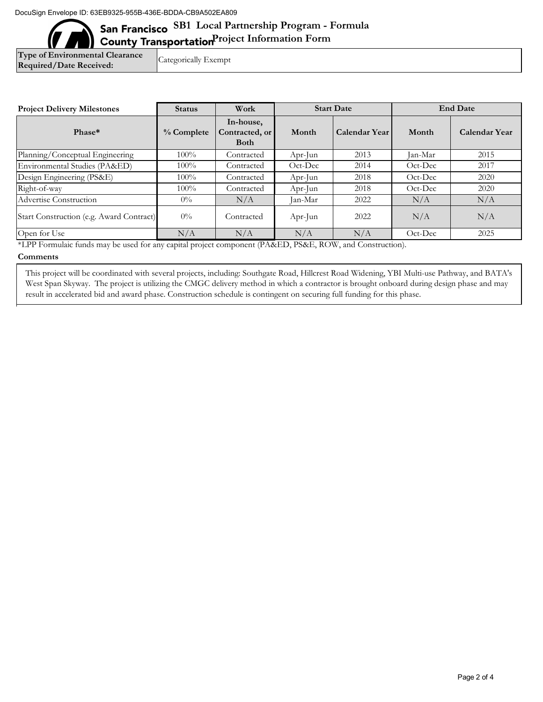## San Francisco SB1 Local Partnership Program - Formula **County Transportation**Project Information Form

**Type of Environmental Clearance Required/Date Received:** 

Categorically Exempt

| <b>Project Delivery Milestones</b>       | <b>Status</b> | Work                                       | <b>Start Date</b>         |                      | <b>End Date</b>           |                      |
|------------------------------------------|---------------|--------------------------------------------|---------------------------|----------------------|---------------------------|----------------------|
| Phase*                                   | $%$ Complete  | In-house,<br>Contracted, or<br><b>Both</b> | Month                     | <b>Calendar Year</b> | Month                     | <b>Calendar Year</b> |
| Planning/Conceptual Engineering          | $100\%$       | Contracted                                 | Apr-Jun                   | 2013                 | Jan-Mar                   | 2015                 |
| Environmental Studies (PA&ED)            | $100\%$       | Contracted                                 | $Oct\text{-}\mathrm{Dec}$ | 2014                 | $Oct\text{-}\mathrm{Dec}$ | 2017                 |
| Design Engineering (PS&E)                | $100\%$       | Contracted                                 | Apr-Jun                   | 2018                 | Oct-Dec                   | 2020                 |
| Right-of-way                             | $100\%$       | Contracted                                 | Apr-Jun                   | 2018                 | $Oct\text{-}\mathrm{Dec}$ | 2020                 |
| Advertise Construction                   | $0\%$         | N/A                                        | Jan-Mar                   | 2022                 | N/A                       | N/A                  |
| Start Construction (e.g. Award Contract) | $0\%$         | Contracted                                 | Apr-Jun                   | 2022                 | N/A                       | N/A                  |
| Open for Use                             | N/A           | N/A                                        | N/A                       | N/A                  | Oct-Dec                   | 2025                 |

\*LPP Formulaic funds may be used for any capital project component (PA&ED, PS&E, ROW, and Construction).

## **Comments**

This project will be coordinated with several projects, including: Southgate Road, Hillcrest Road Widening, YBI Multi-use Pathway, and BATA's West Span Skyway. The project is utilizing the CMGC delivery method in which a contractor is brought onboard during design phase and may result in accelerated bid and award phase. Construction schedule is contingent on securing full funding for this phase.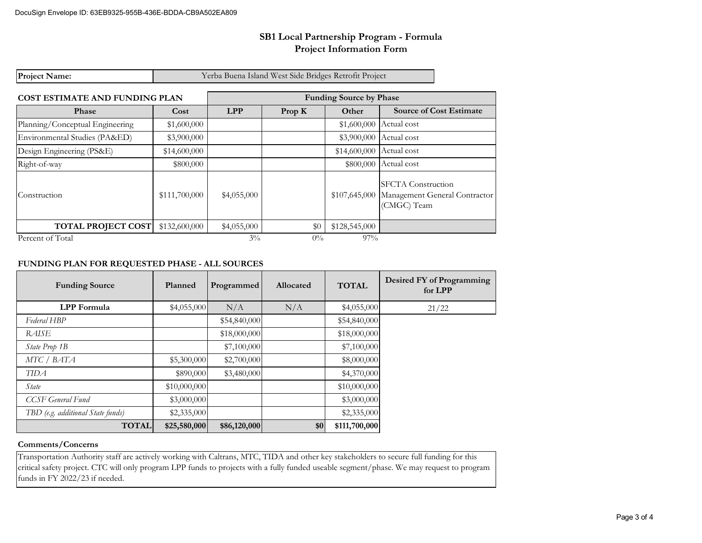## **SB1 Local Partnership Program - Formula Project Information Form**

| <b>Project Name:</b>                  |               |                                | Yerba Buena Island West Side Bridges Retrofit Project |               |                                                                           |  |
|---------------------------------------|---------------|--------------------------------|-------------------------------------------------------|---------------|---------------------------------------------------------------------------|--|
| <b>COST ESTIMATE AND FUNDING PLAN</b> |               | <b>Funding Source by Phase</b> |                                                       |               |                                                                           |  |
| Phase                                 | Cost          | <b>LPP</b><br>Prop K<br>Other  |                                                       |               | <b>Source of Cost Estimate</b>                                            |  |
| Planning/Conceptual Engineering       | \$1,600,000   |                                |                                                       | \$1,600,000   | Actual cost                                                               |  |
| Environmental Studies (PA&ED)         | \$3,900,000   |                                |                                                       | \$3,900,000   | Actual cost                                                               |  |
| Design Engineering (PS&E)             | \$14,600,000  |                                |                                                       | \$14,600,000  | Actual cost                                                               |  |
| Right-of-way                          | \$800,000     |                                |                                                       | \$800,000     | Actual cost                                                               |  |
| Construction                          | \$111,700,000 | \$4,055,000                    |                                                       | \$107,645,000 | <b>SFCTA</b> Construction<br>Management General Contractor<br>(CMGC) Team |  |
| <b>TOTAL PROJECT COST</b>             | \$132,600,000 | \$4,055,000                    | \$0                                                   | \$128,545,000 |                                                                           |  |
| Percent of Total                      |               | $3\%$                          | $0\%$                                                 | 97%           |                                                                           |  |

## **FUNDING PLAN FOR REQUESTED PHASE - ALL SOURCES**

| <b>Funding Source</b>             | Planned      | Programmed   | Allocated | <b>TOTAL</b>  | Desired FY of Programming<br>for LPP |
|-----------------------------------|--------------|--------------|-----------|---------------|--------------------------------------|
| <b>LPP</b> Formula                | \$4,055,000  | N/A          | N/A       | \$4,055,000   | 21/22                                |
| Federal HBP                       |              | \$54,840,000 |           | \$54,840,000  |                                      |
| RAISE                             |              | \$18,000,000 |           | \$18,000,000  |                                      |
| State Prop 1B                     |              | \$7,100,000  |           | \$7,100,000   |                                      |
| MTC / BATA                        | \$5,300,000  | \$2,700,000  |           | \$8,000,000   |                                      |
| <b>TIDA</b>                       | \$890,000    | \$3,480,000  |           | \$4,370,000   |                                      |
| State                             | \$10,000,000 |              |           | \$10,000,000  |                                      |
| CCSF General Fund                 | \$3,000,000  |              |           | \$3,000,000   |                                      |
| TBD (e.g. additional State funds) | \$2,335,000  |              |           | \$2,335,000   |                                      |
| <b>TOTAL</b>                      | \$25,580,000 | \$86,120,000 | \$0       | \$111,700,000 |                                      |

## **Comments/Concerns**

Transportation Authority staff are actively working with Caltrans, MTC, TIDA and other key stakeholders to secure full funding for this critical safety project. CTC will only program LPP funds to projects with a fully funded useable segment/phase. We may request to program funds in FY 2022/23 if needed.